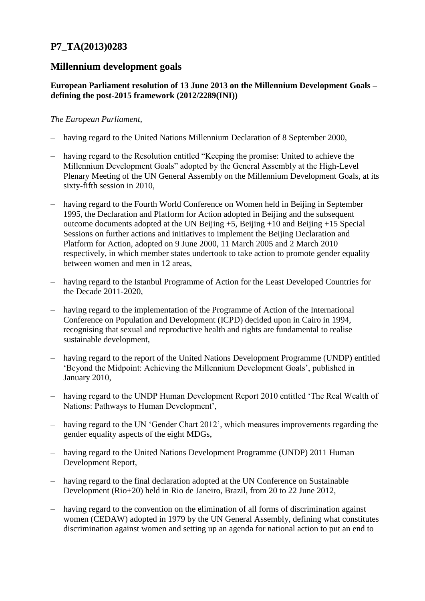# **P7\_TA(2013)0283**

## **Millennium development goals**

## **European Parliament resolution of 13 June 2013 on the Millennium Development Goals – defining the post-2015 framework (2012/2289(INI))**

## *The European Parliament*,

- having regard to the United Nations Millennium Declaration of 8 September 2000,
- having regard to the Resolution entitled "Keeping the promise: United to achieve the Millennium Development Goals" adopted by the General Assembly at the High-Level Plenary Meeting of the UN General Assembly on the Millennium Development Goals, at its sixty-fifth session in 2010,
- having regard to the Fourth World Conference on Women held in Beijing in September 1995, the Declaration and Platform for Action adopted in Beijing and the subsequent outcome documents adopted at the UN Beijing  $+5$ , Beijing  $+10$  and Beijing  $+15$  Special Sessions on further actions and initiatives to implement the Beijing Declaration and Platform for Action, adopted on 9 June 2000, 11 March 2005 and 2 March 2010 respectively, in which member states undertook to take action to promote gender equality between women and men in 12 areas,
- having regard to the Istanbul Programme of Action for the Least Developed Countries for the Decade 2011-2020,
- having regard to the implementation of the Programme of Action of the International Conference on Population and Development (ICPD) decided upon in Cairo in 1994, recognising that sexual and reproductive health and rights are fundamental to realise sustainable development,
- having regard to the report of the United Nations Development Programme (UNDP) entitled 'Beyond the Midpoint: Achieving the Millennium Development Goals', published in January 2010,
- having regard to the UNDP Human Development Report 2010 entitled 'The Real Wealth of Nations: Pathways to Human Development',
- having regard to the UN 'Gender Chart 2012', which measures improvements regarding the gender equality aspects of the eight MDGs,
- having regard to the United Nations Development Programme (UNDP) 2011 Human Development Report,
- having regard to the final declaration adopted at the UN Conference on Sustainable Development (Rio+20) held in Rio de Janeiro, Brazil, from 20 to 22 June 2012,
- having regard to the convention on the elimination of all forms of discrimination against women (CEDAW) adopted in 1979 by the UN General Assembly, defining what constitutes discrimination against women and setting up an agenda for national action to put an end to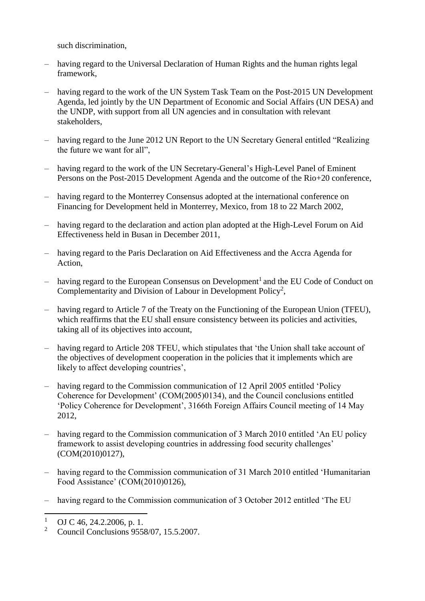such discrimination,

- having regard to the Universal Declaration of Human Rights and the human rights legal framework,
- having regard to the work of the UN System Task Team on the Post-2015 UN Development Agenda, led jointly by the UN Department of Economic and Social Affairs (UN DESA) and the UNDP, with support from all UN agencies and in consultation with relevant stakeholders,
- having regard to the June 2012 UN Report to the UN Secretary General entitled "Realizing the future we want for all",
- having regard to the work of the UN Secretary-General's High-Level Panel of Eminent Persons on the Post-2015 Development Agenda and the outcome of the Rio+20 conference,
- having regard to the Monterrey Consensus adopted at the international conference on Financing for Development held in Monterrey, Mexico, from 18 to 22 March 2002,
- having regard to the declaration and action plan adopted at the High-Level Forum on Aid Effectiveness held in Busan in December 2011,
- having regard to the Paris Declaration on Aid Effectiveness and the Accra Agenda for Action,
- $-$  having regard to the European Consensus on Development<sup>1</sup> and the EU Code of Conduct on Complementarity and Division of Labour in Development Policy<sup>2</sup>,
- having regard to Article 7 of the Treaty on the Functioning of the European Union (TFEU), which reaffirms that the EU shall ensure consistency between its policies and activities, taking all of its objectives into account,
- having regard to Article 208 TFEU, which stipulates that 'the Union shall take account of the objectives of development cooperation in the policies that it implements which are likely to affect developing countries',
- having regard to the Commission communication of 12 April 2005 entitled 'Policy Coherence for Development' (COM(2005)0134), and the Council conclusions entitled 'Policy Coherence for Development', 3166th Foreign Affairs Council meeting of 14 May 2012,
- having regard to the Commission communication of 3 March 2010 entitled 'An EU policy framework to assist developing countries in addressing food security challenges' (COM(2010)0127),
- having regard to the Commission communication of 31 March 2010 entitled 'Humanitarian Food Assistance' (COM(2010)0126),
- having regard to the Commission communication of 3 October 2012 entitled 'The EU

 $1$  $\frac{1}{2}$  OJ C 46, 24.2.2006, p. 1.

<sup>2</sup> Council Conclusions 9558/07, 15.5.2007.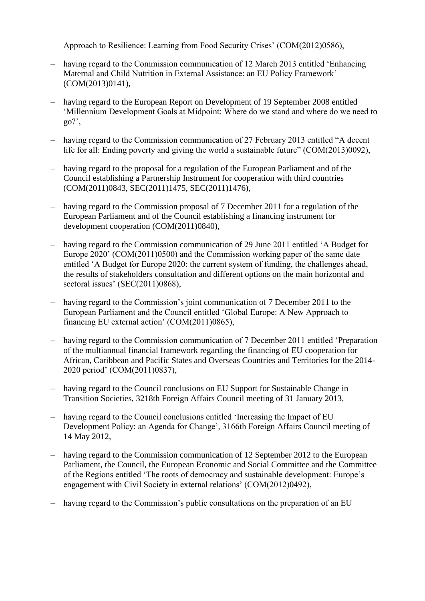Approach to Resilience: Learning from Food Security Crises' (COM(2012)0586),

- having regard to the Commission communication of 12 March 2013 entitled 'Enhancing Maternal and Child Nutrition in External Assistance: an EU Policy Framework' (COM(2013)0141),
- having regard to the European Report on Development of 19 September 2008 entitled 'Millennium Development Goals at Midpoint: Where do we stand and where do we need to  $\Omega$ <sup>2</sup>.
- having regard to the Commission communication of 27 February 2013 entitled "A decent life for all: Ending poverty and giving the world a sustainable future" (COM(2013)0092),
- having regard to the proposal for a regulation of the European Parliament and of the Council establishing a Partnership Instrument for cooperation with third countries (COM(2011)0843, SEC(2011)1475, SEC(2011)1476),
- having regard to the Commission proposal of 7 December 2011 for a regulation of the European Parliament and of the Council establishing a financing instrument for development cooperation (COM(2011)0840),
- having regard to the Commission communication of 29 June 2011 entitled 'A Budget for Europe 2020' (COM(2011)0500) and the Commission working paper of the same date entitled 'A Budget for Europe 2020: the current system of funding, the challenges ahead, the results of stakeholders consultation and different options on the main horizontal and sectoral issues' (SEC(2011)0868),
- having regard to the Commission's joint communication of 7 December 2011 to the European Parliament and the Council entitled 'Global Europe: A New Approach to financing EU external action' (COM(2011)0865),
- having regard to the Commission communication of 7 December 2011 entitled 'Preparation of the multiannual financial framework regarding the financing of EU cooperation for African, Caribbean and Pacific States and Overseas Countries and Territories for the 2014- 2020 period' (COM(2011)0837),
- having regard to the Council conclusions on EU Support for Sustainable Change in Transition Societies, 3218th Foreign Affairs Council meeting of 31 January 2013,
- having regard to the Council conclusions entitled 'Increasing the Impact of EU Development Policy: an Agenda for Change', 3166th Foreign Affairs Council meeting of 14 May 2012,
- having regard to the Commission communication of 12 September 2012 to the European Parliament, the Council, the European Economic and Social Committee and the Committee of the Regions entitled 'The roots of democracy and sustainable development: Europe's engagement with Civil Society in external relations' (COM(2012)0492),
- having regard to the Commission's public consultations on the preparation of an EU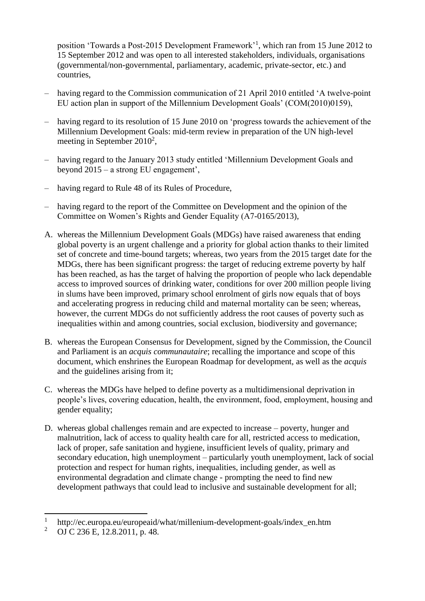position 'Towards a Post-2015 Development Framework'<sup>1</sup> , which ran from 15 June 2012 to 15 September 2012 and was open to all interested stakeholders, individuals, organisations (governmental/non-governmental, parliamentary, academic, private-sector, etc.) and countries,

- having regard to the Commission communication of 21 April 2010 entitled 'A twelve-point EU action plan in support of the Millennium Development Goals' (COM(2010)0159),
- having regard to its resolution of 15 June 2010 on 'progress towards the achievement of the Millennium Development Goals: mid-term review in preparation of the UN high-level meeting in September  $2010^2$ ,
- having regard to the January 2013 study entitled 'Millennium Development Goals and beyond 2015 – a strong EU engagement',
- having regard to Rule 48 of its Rules of Procedure,
- having regard to the report of the Committee on Development and the opinion of the Committee on Women's Rights and Gender Equality (A7-0165/2013),
- A. whereas the Millennium Development Goals (MDGs) have raised awareness that ending global poverty is an urgent challenge and a priority for global action thanks to their limited set of concrete and time-bound targets; whereas, two years from the 2015 target date for the MDGs, there has been significant progress: the target of reducing extreme poverty by half has been reached, as has the target of halving the proportion of people who lack dependable access to improved sources of drinking water, conditions for over 200 million people living in slums have been improved, primary school enrolment of girls now equals that of boys and accelerating progress in reducing child and maternal mortality can be seen; whereas, however, the current MDGs do not sufficiently address the root causes of poverty such as inequalities within and among countries, social exclusion, biodiversity and governance;
- B. whereas the European Consensus for Development, signed by the Commission, the Council and Parliament is an *acquis communautaire*; recalling the importance and scope of this document, which enshrines the European Roadmap for development, as well as the *acquis* and the guidelines arising from it;
- C. whereas the MDGs have helped to define poverty as a multidimensional deprivation in people's lives, covering education, health, the environment, food, employment, housing and gender equality;
- D. whereas global challenges remain and are expected to increase poverty, hunger and malnutrition, lack of access to quality health care for all, restricted access to medication, lack of proper, safe sanitation and hygiene, insufficient levels of quality, primary and secondary education, high unemployment – particularly youth unemployment, lack of social protection and respect for human rights, inequalities, including gender, as well as environmental degradation and climate change - prompting the need to find new development pathways that could lead to inclusive and sustainable development for all;

 $\overline{a}$ 

<sup>1</sup> http://ec.europa.eu/europeaid/what/millenium-development-goals/index\_en.htm

<sup>&</sup>lt;sup>2</sup> OJ C 236 E, 12.8.2011, p. 48.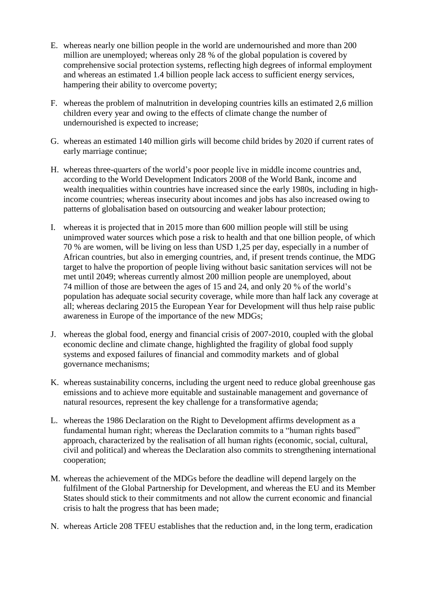- E. whereas nearly one billion people in the world are undernourished and more than 200 million are unemployed; whereas only 28 % of the global population is covered by comprehensive social protection systems, reflecting high degrees of informal employment and whereas an estimated 1.4 billion people lack access to sufficient energy services, hampering their ability to overcome poverty;
- F. whereas the problem of malnutrition in developing countries kills an estimated 2,6 million children every year and owing to the effects of climate change the number of undernourished is expected to increase;
- G. whereas an estimated 140 million girls will become child brides by 2020 if current rates of early marriage continue;
- H. whereas three-quarters of the world's poor people live in middle income countries and, according to the World Development Indicators 2008 of the World Bank, income and wealth inequalities within countries have increased since the early 1980s, including in highincome countries; whereas insecurity about incomes and jobs has also increased owing to patterns of globalisation based on outsourcing and weaker labour protection;
- I. whereas it is projected that in 2015 more than 600 million people will still be using unimproved water sources which pose a risk to health and that one billion people, of which 70 % are women, will be living on less than USD 1,25 per day, especially in a number of African countries, but also in emerging countries, and, if present trends continue, the MDG target to halve the proportion of people living without basic sanitation services will not be met until 2049; whereas currently almost 200 million people are unemployed, about 74 million of those are between the ages of 15 and 24, and only 20 % of the world's population has adequate social security coverage, while more than half lack any coverage at all; whereas declaring 2015 the European Year for Development will thus help raise public awareness in Europe of the importance of the new MDGs;
- J. whereas the global food, energy and financial crisis of 2007-2010, coupled with the global economic decline and climate change, highlighted the fragility of global food supply systems and exposed failures of financial and commodity markets and of global governance mechanisms;
- K. whereas sustainability concerns, including the urgent need to reduce global greenhouse gas emissions and to achieve more equitable and sustainable management and governance of natural resources, represent the key challenge for a transformative agenda;
- L. whereas the 1986 Declaration on the Right to Development affirms development as a fundamental human right; whereas the Declaration commits to a "human rights based" approach, characterized by the realisation of all human rights (economic, social, cultural, civil and political) and whereas the Declaration also commits to strengthening international cooperation;
- M. whereas the achievement of the MDGs before the deadline will depend largely on the fulfilment of the Global Partnership for Development, and whereas the EU and its Member States should stick to their commitments and not allow the current economic and financial crisis to halt the progress that has been made;
- N. whereas Article 208 TFEU establishes that the reduction and, in the long term, eradication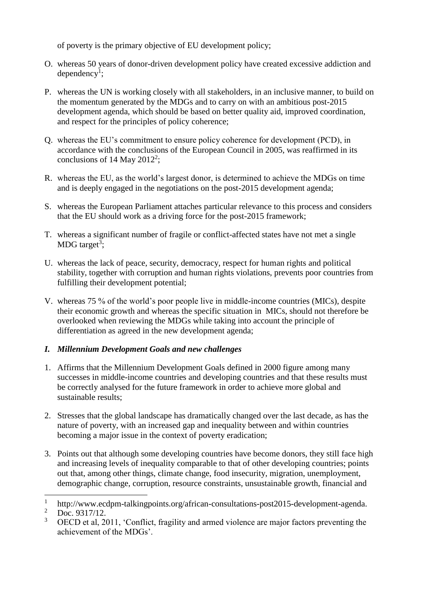of poverty is the primary objective of EU development policy;

- O. whereas 50 years of donor-driven development policy have created excessive addiction and  $\text{ dependency}^1$ ;
- P. whereas the UN is working closely with all stakeholders, in an inclusive manner, to build on the momentum generated by the MDGs and to carry on with an ambitious post-2015 development agenda, which should be based on better quality aid, improved coordination, and respect for the principles of policy coherence;
- Q. whereas the EU's commitment to ensure policy coherence for development (PCD), in accordance with the conclusions of the European Council in 2005, was reaffirmed in its conclusions of 14 May 2012<sup>2</sup>;
- R. whereas the EU, as the world's largest donor, is determined to achieve the MDGs on time and is deeply engaged in the negotiations on the post-2015 development agenda;
- S. whereas the European Parliament attaches particular relevance to this process and considers that the EU should work as a driving force for the post-2015 framework;
- T. whereas a significant number of fragile or conflict-affected states have not met a single MDG target<sup>3</sup>;
- U. whereas the lack of peace, security, democracy, respect for human rights and political stability, together with corruption and human rights violations, prevents poor countries from fulfilling their development potential;
- V. whereas 75 % of the world's poor people live in middle-income countries (MICs), despite their economic growth and whereas the specific situation in MICs, should not therefore be overlooked when reviewing the MDGs while taking into account the principle of differentiation as agreed in the new development agenda;

## *I. Millennium Development Goals and new challenges*

- 1. Affirms that the Millennium Development Goals defined in 2000 figure among many successes in middle-income countries and developing countries and that these results must be correctly analysed for the future framework in order to achieve more global and sustainable results;
- 2. Stresses that the global landscape has dramatically changed over the last decade, as has the nature of poverty, with an increased gap and inequality between and within countries becoming a major issue in the context of poverty eradication;
- 3. Points out that although some developing countries have become donors, they still face high and increasing levels of inequality comparable to that of other developing countries; points out that, among other things, climate change, food insecurity, migration, unemployment, demographic change, corruption, resource constraints, unsustainable growth, financial and

 $\overline{a}$ 

<sup>1</sup> http://www.ecdpm-talkingpoints.org/african-consultations-post2015-development-agenda.

 $\frac{2}{3}$  Doc. 9317/12.

<sup>3</sup> OECD et al, 2011, 'Conflict, fragility and armed violence are major factors preventing the achievement of the MDGs'.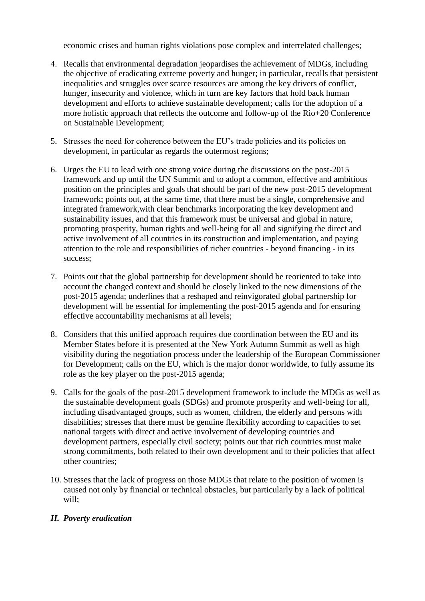economic crises and human rights violations pose complex and interrelated challenges;

- 4. Recalls that environmental degradation jeopardises the achievement of MDGs, including the objective of eradicating extreme poverty and hunger; in particular, recalls that persistent inequalities and struggles over scarce resources are among the key drivers of conflict, hunger, insecurity and violence, which in turn are key factors that hold back human development and efforts to achieve sustainable development; calls for the adoption of a more holistic approach that reflects the outcome and follow-up of the Rio+20 Conference on Sustainable Development;
- 5. Stresses the need for coherence between the EU's trade policies and its policies on development, in particular as regards the outermost regions;
- 6. Urges the EU to lead with one strong voice during the discussions on the post-2015 framework and up until the UN Summit and to adopt a common, effective and ambitious position on the principles and goals that should be part of the new post-2015 development framework; points out, at the same time, that there must be a single, comprehensive and integrated framework,with clear benchmarks incorporating the key development and sustainability issues, and that this framework must be universal and global in nature, promoting prosperity, human rights and well-being for all and signifying the direct and active involvement of all countries in its construction and implementation, and paying attention to the role and responsibilities of richer countries - beyond financing - in its success;
- 7. Points out that the global partnership for development should be reoriented to take into account the changed context and should be closely linked to the new dimensions of the post-2015 agenda; underlines that a reshaped and reinvigorated global partnership for development will be essential for implementing the post-2015 agenda and for ensuring effective accountability mechanisms at all levels;
- 8. Considers that this unified approach requires due coordination between the EU and its Member States before it is presented at the New York Autumn Summit as well as high visibility during the negotiation process under the leadership of the European Commissioner for Development; calls on the EU, which is the major donor worldwide, to fully assume its role as the key player on the post-2015 agenda;
- 9. Calls for the goals of the post-2015 development framework to include the MDGs as well as the sustainable development goals (SDGs) and promote prosperity and well-being for all, including disadvantaged groups, such as women, children, the elderly and persons with disabilities; stresses that there must be genuine flexibility according to capacities to set national targets with direct and active involvement of developing countries and development partners, especially civil society; points out that rich countries must make strong commitments, both related to their own development and to their policies that affect other countries;
- 10. Stresses that the lack of progress on those MDGs that relate to the position of women is caused not only by financial or technical obstacles, but particularly by a lack of political will;

## *II. Poverty eradication*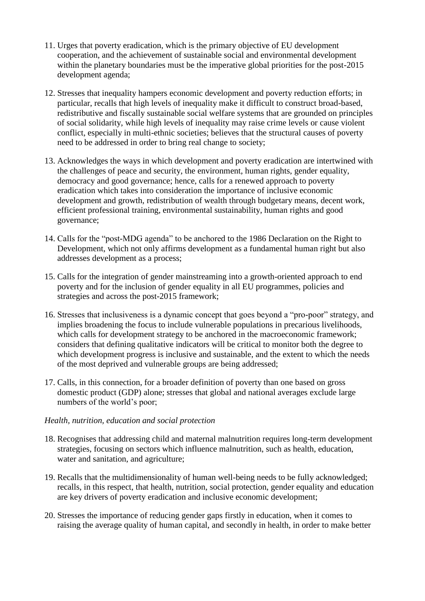- 11. Urges that poverty eradication, which is the primary objective of EU development cooperation, and the achievement of sustainable social and environmental development within the planetary boundaries must be the imperative global priorities for the post-2015 development agenda;
- 12. Stresses that inequality hampers economic development and poverty reduction efforts; in particular, recalls that high levels of inequality make it difficult to construct broad-based, redistributive and fiscally sustainable social welfare systems that are grounded on principles of social solidarity, while high levels of inequality may raise crime levels or cause violent conflict, especially in multi-ethnic societies; believes that the structural causes of poverty need to be addressed in order to bring real change to society;
- 13. Acknowledges the ways in which development and poverty eradication are intertwined with the challenges of peace and security, the environment, human rights, gender equality, democracy and good governance; hence, calls for a renewed approach to poverty eradication which takes into consideration the importance of inclusive economic development and growth, redistribution of wealth through budgetary means, decent work, efficient professional training, environmental sustainability, human rights and good governance;
- 14. Calls for the "post-MDG agenda" to be anchored to the 1986 Declaration on the Right to Development, which not only affirms development as a fundamental human right but also addresses development as a process;
- 15. Calls for the integration of gender mainstreaming into a growth-oriented approach to end poverty and for the inclusion of gender equality in all EU programmes, policies and strategies and across the post-2015 framework;
- 16. Stresses that inclusiveness is a dynamic concept that goes beyond a "pro-poor" strategy, and implies broadening the focus to include vulnerable populations in precarious livelihoods, which calls for development strategy to be anchored in the macroeconomic framework; considers that defining qualitative indicators will be critical to monitor both the degree to which development progress is inclusive and sustainable, and the extent to which the needs of the most deprived and vulnerable groups are being addressed;
- 17. Calls, in this connection, for a broader definition of poverty than one based on gross domestic product (GDP) alone; stresses that global and national averages exclude large numbers of the world's poor;

#### *Health, nutrition, education and social protection*

- 18. Recognises that addressing child and maternal malnutrition requires long-term development strategies, focusing on sectors which influence malnutrition, such as health, education, water and sanitation, and agriculture;
- 19. Recalls that the multidimensionality of human well-being needs to be fully acknowledged; recalls, in this respect, that health, nutrition, social protection, gender equality and education are key drivers of poverty eradication and inclusive economic development;
- 20. Stresses the importance of reducing gender gaps firstly in education, when it comes to raising the average quality of human capital, and secondly in health, in order to make better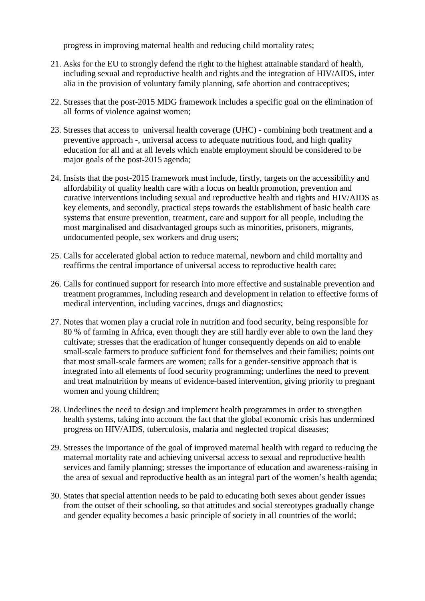progress in improving maternal health and reducing child mortality rates;

- 21. Asks for the EU to strongly defend the right to the highest attainable standard of health, including sexual and reproductive health and rights and the integration of HIV/AIDS, inter alia in the provision of voluntary family planning, safe abortion and contraceptives;
- 22. Stresses that the post-2015 MDG framework includes a specific goal on the elimination of all forms of violence against women;
- 23. Stresses that access to universal health coverage (UHC) combining both treatment and a preventive approach -, universal access to adequate nutritious food, and high quality education for all and at all levels which enable employment should be considered to be major goals of the post-2015 agenda;
- 24. Insists that the post-2015 framework must include, firstly, targets on the accessibility and affordability of quality health care with a focus on health promotion, prevention and curative interventions including sexual and reproductive health and rights and HIV/AIDS as key elements, and secondly, practical steps towards the establishment of basic health care systems that ensure prevention, treatment, care and support for all people, including the most marginalised and disadvantaged groups such as minorities, prisoners, migrants, undocumented people, sex workers and drug users;
- 25. Calls for accelerated global action to reduce maternal, newborn and child mortality and reaffirms the central importance of universal access to reproductive health care;
- 26. Calls for continued support for research into more effective and sustainable prevention and treatment programmes, including research and development in relation to effective forms of medical intervention, including vaccines, drugs and diagnostics;
- 27. Notes that women play a crucial role in nutrition and food security, being responsible for 80 % of farming in Africa, even though they are still hardly ever able to own the land they cultivate; stresses that the eradication of hunger consequently depends on aid to enable small-scale farmers to produce sufficient food for themselves and their families; points out that most small-scale farmers are women; calls for a gender-sensitive approach that is integrated into all elements of food security programming; underlines the need to prevent and treat malnutrition by means of evidence-based intervention, giving priority to pregnant women and young children;
- 28. Underlines the need to design and implement health programmes in order to strengthen health systems, taking into account the fact that the global economic crisis has undermined progress on HIV/AIDS, tuberculosis, malaria and neglected tropical diseases;
- 29. Stresses the importance of the goal of improved maternal health with regard to reducing the maternal mortality rate and achieving universal access to sexual and reproductive health services and family planning; stresses the importance of education and awareness-raising in the area of sexual and reproductive health as an integral part of the women's health agenda;
- 30. States that special attention needs to be paid to educating both sexes about gender issues from the outset of their schooling, so that attitudes and social stereotypes gradually change and gender equality becomes a basic principle of society in all countries of the world;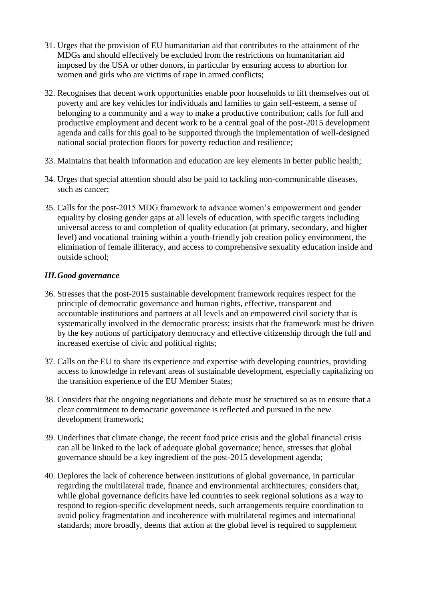- 31. Urges that the provision of EU humanitarian aid that contributes to the attainment of the MDGs and should effectively be excluded from the restrictions on humanitarian aid imposed by the USA or other donors, in particular by ensuring access to abortion for women and girls who are victims of rape in armed conflicts;
- 32. Recognises that decent work opportunities enable poor households to lift themselves out of poverty and are key vehicles for individuals and families to gain self-esteem, a sense of belonging to a community and a way to make a productive contribution; calls for full and productive employment and decent work to be a central goal of the post-2015 development agenda and calls for this goal to be supported through the implementation of well-designed national social protection floors for poverty reduction and resilience;
- 33. Maintains that health information and education are key elements in better public health;
- 34. Urges that special attention should also be paid to tackling non-communicable diseases, such as cancer;
- 35. Calls for the post-2015 MDG framework to advance women's empowerment and gender equality by closing gender gaps at all levels of education, with specific targets including universal access to and completion of quality education (at primary, secondary, and higher level) and vocational training within a youth-friendly job creation policy environment, the elimination of female illiteracy, and access to comprehensive sexuality education inside and outside school;

## *III.Good governance*

- 36. Stresses that the post-2015 sustainable development framework requires respect for the principle of democratic governance and human rights, effective, transparent and accountable institutions and partners at all levels and an empowered civil society that is systematically involved in the democratic process; insists that the framework must be driven by the key notions of participatory democracy and effective citizenship through the full and increased exercise of civic and political rights;
- 37. Calls on the EU to share its experience and expertise with developing countries, providing access to knowledge in relevant areas of sustainable development, especially capitalizing on the transition experience of the EU Member States;
- 38. Considers that the ongoing negotiations and debate must be structured so as to ensure that a clear commitment to democratic governance is reflected and pursued in the new development framework;
- 39. Underlines that climate change, the recent food price crisis and the global financial crisis can all be linked to the lack of adequate global governance; hence, stresses that global governance should be a key ingredient of the post-2015 development agenda;
- 40. Deplores the lack of coherence between institutions of global governance, in particular regarding the multilateral trade, finance and environmental architectures; considers that, while global governance deficits have led countries to seek regional solutions as a way to respond to region-specific development needs, such arrangements require coordination to avoid policy fragmentation and incoherence with multilateral regimes and international standards; more broadly, deems that action at the global level is required to supplement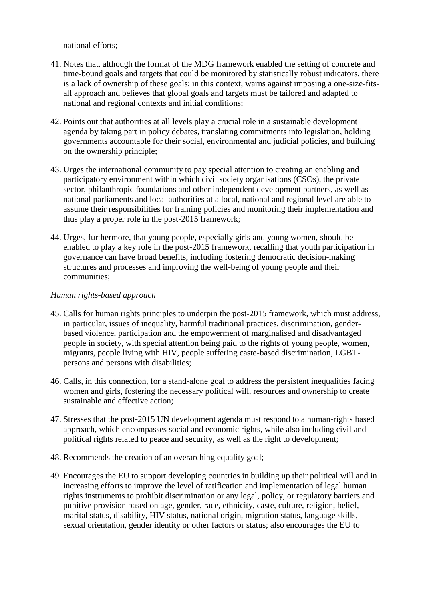national efforts;

- 41. Notes that, although the format of the MDG framework enabled the setting of concrete and time-bound goals and targets that could be monitored by statistically robust indicators, there is a lack of ownership of these goals; in this context, warns against imposing a one-size-fitsall approach and believes that global goals and targets must be tailored and adapted to national and regional contexts and initial conditions;
- 42. Points out that authorities at all levels play a crucial role in a sustainable development agenda by taking part in policy debates, translating commitments into legislation, holding governments accountable for their social, environmental and judicial policies, and building on the ownership principle;
- 43. Urges the international community to pay special attention to creating an enabling and participatory environment within which civil society organisations (CSOs), the private sector, philanthropic foundations and other independent development partners, as well as national parliaments and local authorities at a local, national and regional level are able to assume their responsibilities for framing policies and monitoring their implementation and thus play a proper role in the post-2015 framework;
- 44. Urges, furthermore, that young people, especially girls and young women, should be enabled to play a key role in the post-2015 framework, recalling that youth participation in governance can have broad benefits, including fostering democratic decision-making structures and processes and improving the well-being of young people and their communities;

## *Human rights-based approach*

- 45. Calls for human rights principles to underpin the post-2015 framework, which must address, in particular, issues of inequality, harmful traditional practices, discrimination, genderbased violence, participation and the empowerment of marginalised and disadvantaged people in society, with special attention being paid to the rights of young people, women, migrants, people living with HIV, people suffering caste-based discrimination, LGBTpersons and persons with disabilities;
- 46. Calls, in this connection, for a stand-alone goal to address the persistent inequalities facing women and girls, fostering the necessary political will, resources and ownership to create sustainable and effective action;
- 47. Stresses that the post-2015 UN development agenda must respond to a human-rights based approach, which encompasses social and economic rights, while also including civil and political rights related to peace and security, as well as the right to development;
- 48. Recommends the creation of an overarching equality goal;
- 49. Encourages the EU to support developing countries in building up their political will and in increasing efforts to improve the level of ratification and implementation of legal human rights instruments to prohibit discrimination or any legal, policy, or regulatory barriers and punitive provision based on age, gender, race, ethnicity, caste, culture, religion, belief, marital status, disability, HIV status, national origin, migration status, language skills, sexual orientation, gender identity or other factors or status; also encourages the EU to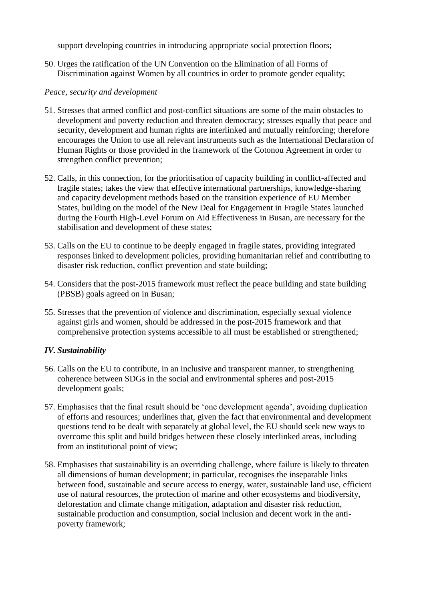support developing countries in introducing appropriate social protection floors;

50. Urges the ratification of the UN Convention on the Elimination of all Forms of Discrimination against Women by all countries in order to promote gender equality;

#### *Peace, security and development*

- 51. Stresses that armed conflict and post-conflict situations are some of the main obstacles to development and poverty reduction and threaten democracy; stresses equally that peace and security, development and human rights are interlinked and mutually reinforcing; therefore encourages the Union to use all relevant instruments such as the International Declaration of Human Rights or those provided in the framework of the Cotonou Agreement in order to strengthen conflict prevention;
- 52. Calls, in this connection, for the prioritisation of capacity building in conflict-affected and fragile states; takes the view that effective international partnerships, knowledge-sharing and capacity development methods based on the transition experience of EU Member States, building on the model of the New Deal for Engagement in Fragile States launched during the Fourth High-Level Forum on Aid Effectiveness in Busan, are necessary for the stabilisation and development of these states;
- 53. Calls on the EU to continue to be deeply engaged in fragile states, providing integrated responses linked to development policies, providing humanitarian relief and contributing to disaster risk reduction, conflict prevention and state building;
- 54. Considers that the post-2015 framework must reflect the peace building and state building (PBSB) goals agreed on in Busan;
- 55. Stresses that the prevention of violence and discrimination, especially sexual violence against girls and women, should be addressed in the post-2015 framework and that comprehensive protection systems accessible to all must be established or strengthened;

## *IV. Sustainability*

- 56. Calls on the EU to contribute, in an inclusive and transparent manner, to strengthening coherence between SDGs in the social and environmental spheres and post-2015 development goals;
- 57. Emphasises that the final result should be 'one development agenda', avoiding duplication of efforts and resources; underlines that, given the fact that environmental and development questions tend to be dealt with separately at global level, the EU should seek new ways to overcome this split and build bridges between these closely interlinked areas, including from an institutional point of view;
- 58. Emphasises that sustainability is an overriding challenge, where failure is likely to threaten all dimensions of human development; in particular, recognises the inseparable links between food, sustainable and secure access to energy, water, sustainable land use, efficient use of natural resources, the protection of marine and other ecosystems and biodiversity, deforestation and climate change mitigation, adaptation and disaster risk reduction, sustainable production and consumption, social inclusion and decent work in the antipoverty framework;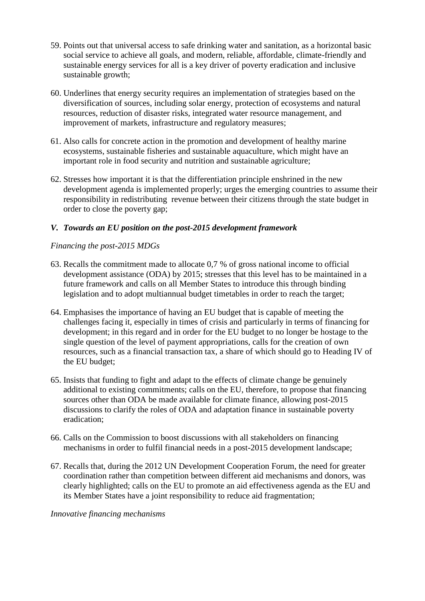- 59. Points out that universal access to safe drinking water and sanitation, as a horizontal basic social service to achieve all goals, and modern, reliable, affordable, climate-friendly and sustainable energy services for all is a key driver of poverty eradication and inclusive sustainable growth;
- 60. Underlines that energy security requires an implementation of strategies based on the diversification of sources, including solar energy, protection of ecosystems and natural resources, reduction of disaster risks, integrated water resource management, and improvement of markets, infrastructure and regulatory measures;
- 61. Also calls for concrete action in the promotion and development of healthy marine ecosystems, sustainable fisheries and sustainable aquaculture, which might have an important role in food security and nutrition and sustainable agriculture;
- 62. Stresses how important it is that the differentiation principle enshrined in the new development agenda is implemented properly; urges the emerging countries to assume their responsibility in redistributing revenue between their citizens through the state budget in order to close the poverty gap;

## *V. Towards an EU position on the post-2015 development framework*

## *Financing the post-2015 MDGs*

- 63. Recalls the commitment made to allocate 0,7 % of gross national income to official development assistance (ODA) by 2015; stresses that this level has to be maintained in a future framework and calls on all Member States to introduce this through binding legislation and to adopt multiannual budget timetables in order to reach the target;
- 64. Emphasises the importance of having an EU budget that is capable of meeting the challenges facing it, especially in times of crisis and particularly in terms of financing for development; in this regard and in order for the EU budget to no longer be hostage to the single question of the level of payment appropriations, calls for the creation of own resources, such as a financial transaction tax, a share of which should go to Heading IV of the EU budget;
- 65. Insists that funding to fight and adapt to the effects of climate change be genuinely additional to existing commitments; calls on the EU, therefore, to propose that financing sources other than ODA be made available for climate finance, allowing post-2015 discussions to clarify the roles of ODA and adaptation finance in sustainable poverty eradication;
- 66. Calls on the Commission to boost discussions with all stakeholders on financing mechanisms in order to fulfil financial needs in a post-2015 development landscape;
- 67. Recalls that, during the 2012 UN Development Cooperation Forum, the need for greater coordination rather than competition between different aid mechanisms and donors, was clearly highlighted; calls on the EU to promote an aid effectiveness agenda as the EU and its Member States have a joint responsibility to reduce aid fragmentation;

#### *Innovative financing mechanisms*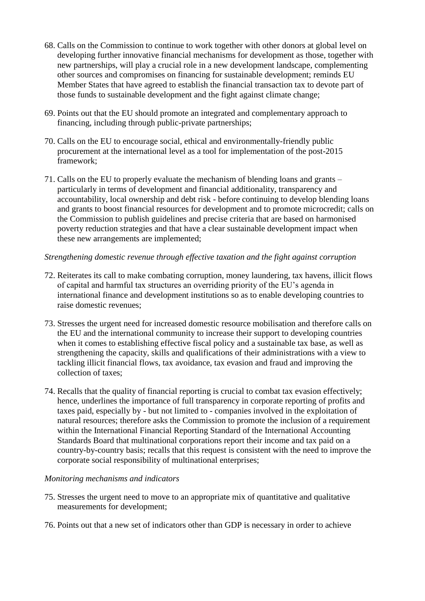- 68. Calls on the Commission to continue to work together with other donors at global level on developing further innovative financial mechanisms for development as those, together with new partnerships, will play a crucial role in a new development landscape, complementing other sources and compromises on financing for sustainable development; reminds EU Member States that have agreed to establish the financial transaction tax to devote part of those funds to sustainable development and the fight against climate change;
- 69. Points out that the EU should promote an integrated and complementary approach to financing, including through public-private partnerships;
- 70. Calls on the EU to encourage social, ethical and environmentally-friendly public procurement at the international level as a tool for implementation of the post-2015 framework;
- 71. Calls on the EU to properly evaluate the mechanism of blending loans and grants particularly in terms of development and financial additionality, transparency and accountability, local ownership and debt risk - before continuing to develop blending loans and grants to boost financial resources for development and to promote microcredit; calls on the Commission to publish guidelines and precise criteria that are based on harmonised poverty reduction strategies and that have a clear sustainable development impact when these new arrangements are implemented;

#### *Strengthening domestic revenue through effective taxation and the fight against corruption*

- 72. Reiterates its call to make combating corruption, money laundering, tax havens, illicit flows of capital and harmful tax structures an overriding priority of the EU's agenda in international finance and development institutions so as to enable developing countries to raise domestic revenues;
- 73. Stresses the urgent need for increased domestic resource mobilisation and therefore calls on the EU and the international community to increase their support to developing countries when it comes to establishing effective fiscal policy and a sustainable tax base, as well as strengthening the capacity, skills and qualifications of their administrations with a view to tackling illicit financial flows, tax avoidance, tax evasion and fraud and improving the collection of taxes;
- 74. Recalls that the quality of financial reporting is crucial to combat tax evasion effectively; hence, underlines the importance of full transparency in corporate reporting of profits and taxes paid, especially by - but not limited to - companies involved in the exploitation of natural resources; therefore asks the Commission to promote the inclusion of a requirement within the International Financial Reporting Standard of the International Accounting Standards Board that multinational corporations report their income and tax paid on a country-by-country basis; recalls that this request is consistent with the need to improve the corporate social responsibility of multinational enterprises;

#### *Monitoring mechanisms and indicators*

- 75. Stresses the urgent need to move to an appropriate mix of quantitative and qualitative measurements for development;
- 76. Points out that a new set of indicators other than GDP is necessary in order to achieve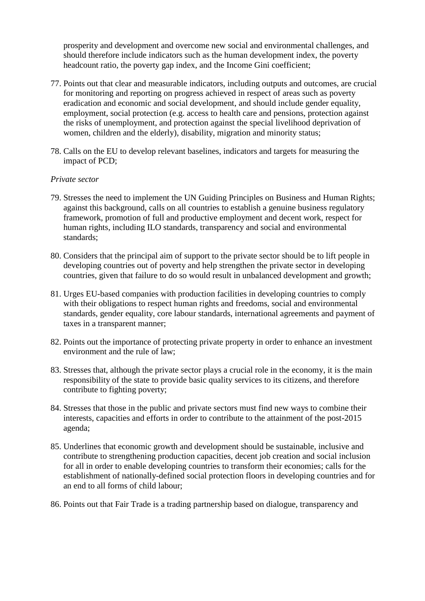prosperity and development and overcome new social and environmental challenges, and should therefore include indicators such as the human development index, the poverty headcount ratio, the poverty gap index, and the Income Gini coefficient;

- 77. Points out that clear and measurable indicators, including outputs and outcomes, are crucial for monitoring and reporting on progress achieved in respect of areas such as poverty eradication and economic and social development, and should include gender equality, employment, social protection (e.g. access to health care and pensions, protection against the risks of unemployment, and protection against the special livelihood deprivation of women, children and the elderly), disability, migration and minority status;
- 78. Calls on the EU to develop relevant baselines, indicators and targets for measuring the impact of PCD;

#### *Private sector*

- 79. Stresses the need to implement the UN Guiding Principles on Business and Human Rights; against this background, calls on all countries to establish a genuine business regulatory framework, promotion of full and productive employment and decent work, respect for human rights, including ILO standards, transparency and social and environmental standards;
- 80. Considers that the principal aim of support to the private sector should be to lift people in developing countries out of poverty and help strengthen the private sector in developing countries, given that failure to do so would result in unbalanced development and growth;
- 81. Urges EU-based companies with production facilities in developing countries to comply with their obligations to respect human rights and freedoms, social and environmental standards, gender equality, core labour standards, international agreements and payment of taxes in a transparent manner;
- 82. Points out the importance of protecting private property in order to enhance an investment environment and the rule of law;
- 83. Stresses that, although the private sector plays a crucial role in the economy, it is the main responsibility of the state to provide basic quality services to its citizens, and therefore contribute to fighting poverty;
- 84. Stresses that those in the public and private sectors must find new ways to combine their interests, capacities and efforts in order to contribute to the attainment of the post-2015 agenda;
- 85. Underlines that economic growth and development should be sustainable, inclusive and contribute to strengthening production capacities, decent job creation and social inclusion for all in order to enable developing countries to transform their economies; calls for the establishment of nationally-defined social protection floors in developing countries and for an end to all forms of child labour;
- 86. Points out that Fair Trade is a trading partnership based on dialogue, transparency and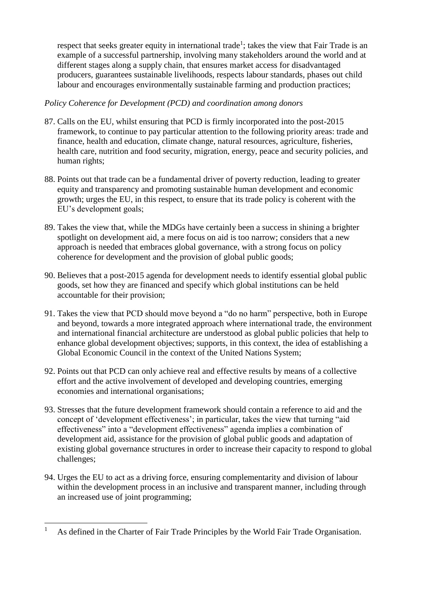respect that seeks greater equity in international trade<sup>1</sup>; takes the view that Fair Trade is an example of a successful partnership, involving many stakeholders around the world and at different stages along a supply chain, that ensures market access for disadvantaged producers, guarantees sustainable livelihoods, respects labour standards, phases out child labour and encourages environmentally sustainable farming and production practices;

#### *Policy Coherence for Development (PCD) and coordination among donors*

- 87. Calls on the EU, whilst ensuring that PCD is firmly incorporated into the post-2015 framework, to continue to pay particular attention to the following priority areas: trade and finance, health and education, climate change, natural resources, agriculture, fisheries, health care, nutrition and food security, migration, energy, peace and security policies, and human rights;
- 88. Points out that trade can be a fundamental driver of poverty reduction, leading to greater equity and transparency and promoting sustainable human development and economic growth; urges the EU, in this respect, to ensure that its trade policy is coherent with the EU's development goals;
- 89. Takes the view that, while the MDGs have certainly been a success in shining a brighter spotlight on development aid, a mere focus on aid is too narrow; considers that a new approach is needed that embraces global governance, with a strong focus on policy coherence for development and the provision of global public goods;
- 90. Believes that a post-2015 agenda for development needs to identify essential global public goods, set how they are financed and specify which global institutions can be held accountable for their provision;
- 91. Takes the view that PCD should move beyond a "do no harm" perspective, both in Europe and beyond, towards a more integrated approach where international trade, the environment and international financial architecture are understood as global public policies that help to enhance global development objectives; supports, in this context, the idea of establishing a Global Economic Council in the context of the United Nations System;
- 92. Points out that PCD can only achieve real and effective results by means of a collective effort and the active involvement of developed and developing countries, emerging economies and international organisations;
- 93. Stresses that the future development framework should contain a reference to aid and the concept of 'development effectiveness'; in particular, takes the view that turning "aid effectiveness" into a "development effectiveness" agenda implies a combination of development aid, assistance for the provision of global public goods and adaptation of existing global governance structures in order to increase their capacity to respond to global challenges;
- 94. Urges the EU to act as a driving force, ensuring complementarity and division of labour within the development process in an inclusive and transparent manner, including through an increased use of joint programming;

 $\overline{a}$ 

<sup>&</sup>lt;sup>1</sup> As defined in the Charter of Fair Trade Principles by the World Fair Trade Organisation.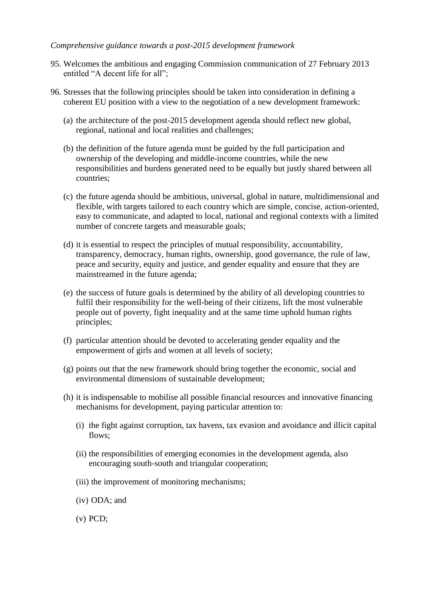#### *Comprehensive guidance towards a post-2015 development framework*

- 95. Welcomes the ambitious and engaging Commission communication of 27 February 2013 entitled "A decent life for all";
- 96. Stresses that the following principles should be taken into consideration in defining a coherent EU position with a view to the negotiation of a new development framework:
	- (a) the architecture of the post-2015 development agenda should reflect new global, regional, national and local realities and challenges;
	- (b) the definition of the future agenda must be guided by the full participation and ownership of the developing and middle-income countries, while the new responsibilities and burdens generated need to be equally but justly shared between all countries;
	- (c) the future agenda should be ambitious, universal, global in nature, multidimensional and flexible, with targets tailored to each country which are simple, concise, action-oriented, easy to communicate, and adapted to local, national and regional contexts with a limited number of concrete targets and measurable goals;
	- (d) it is essential to respect the principles of mutual responsibility, accountability, transparency, democracy, human rights, ownership, good governance, the rule of law, peace and security, equity and justice, and gender equality and ensure that they are mainstreamed in the future agenda;
	- (e) the success of future goals is determined by the ability of all developing countries to fulfil their responsibility for the well-being of their citizens, lift the most vulnerable people out of poverty, fight inequality and at the same time uphold human rights principles;
	- (f) particular attention should be devoted to accelerating gender equality and the empowerment of girls and women at all levels of society;
	- (g) points out that the new framework should bring together the economic, social and environmental dimensions of sustainable development;
	- (h) it is indispensable to mobilise all possible financial resources and innovative financing mechanisms for development, paying particular attention to:
		- (i) the fight against corruption, tax havens, tax evasion and avoidance and illicit capital flows:
		- (ii) the responsibilities of emerging economies in the development agenda, also encouraging south-south and triangular cooperation;
		- (iii) the improvement of monitoring mechanisms;
		- (iv) ODA; and
		- (v) PCD;